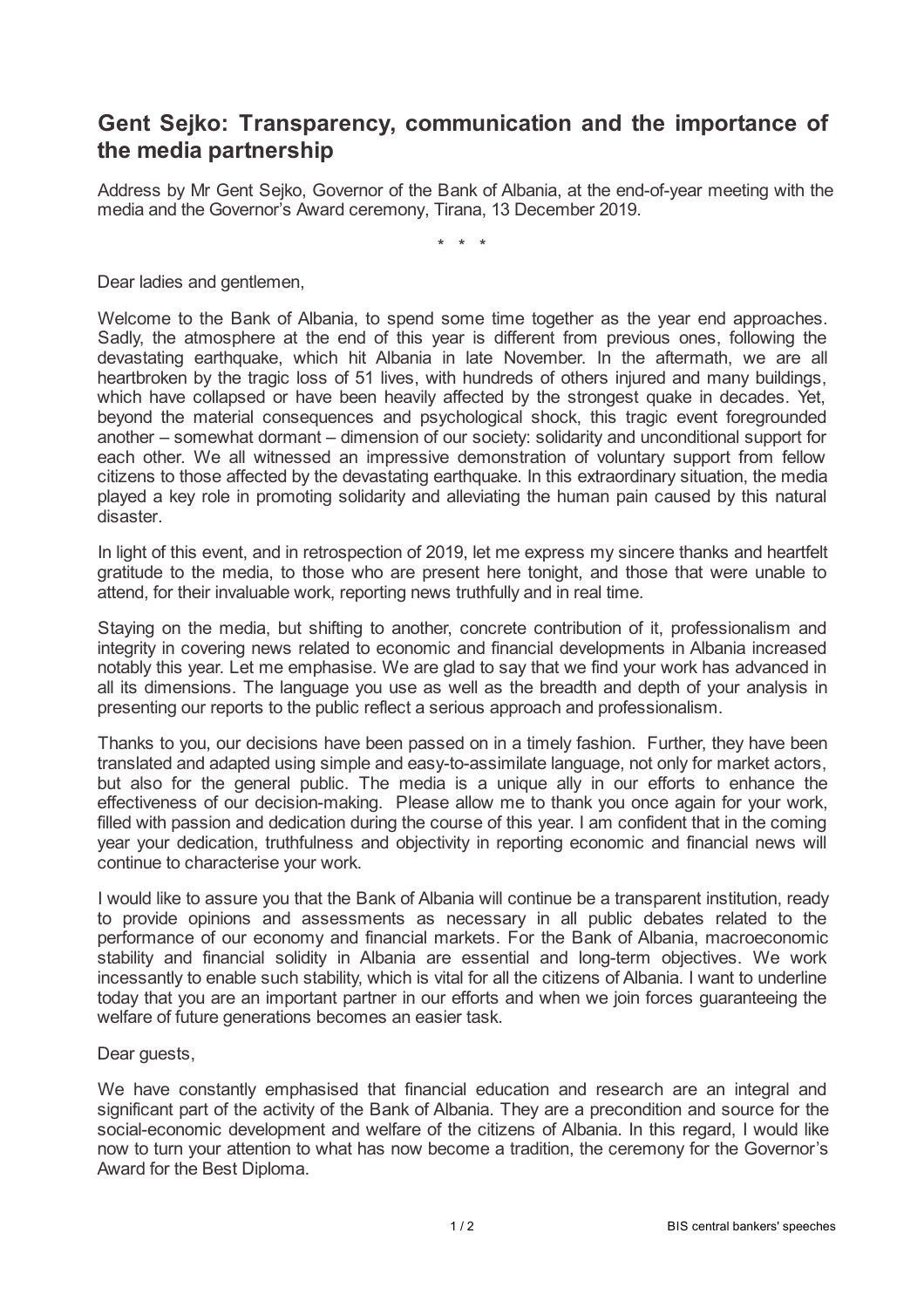## **Gent Sejko: Transparency, communication and the importance of the media partnership**

Address by Mr Gent Sejko, Governor of the Bank of Albania, at the end-of-year meeting with the media and the Governor's Award ceremony, Tirana, 13 December 2019.

\* \* \*

Dear ladies and gentlemen,

Welcome to the Bank of Albania, to spend some time together as the year end approaches. Sadly, the atmosphere at the end of this year is different from previous ones, following the devastating earthquake, which hit Albania in late November. In the aftermath, we are all heartbroken by the tragic loss of 51 lives, with hundreds of others injured and many buildings, which have collapsed or have been heavily affected by the strongest quake in decades. Yet, beyond the material consequences and psychological shock, this tragic event foregrounded another – somewhat dormant – dimension of our society: solidarity and unconditional support for each other. We all witnessed an impressive demonstration of voluntary support from fellow citizens to those affected by the devastating earthquake. In this extraordinary situation, the media played a key role in promoting solidarity and alleviating the human pain caused by this natural disaster.

In light of this event, and in retrospection of 2019, let me express my sincere thanks and heartfelt gratitude to the media, to those who are present here tonight, and those that were unable to attend, for their invaluable work, reporting news truthfully and in real time.

Staying on the media, but shifting to another, concrete contribution of it, professionalism and integrity in covering news related to economic and financial developments in Albania increased notably this year. Let me emphasise. We are glad to say that we find your work has advanced in all its dimensions. The language you use as well as the breadth and depth of your analysis in presenting our reports to the public reflect a serious approach and professionalism.

Thanks to you, our decisions have been passed on in a timely fashion. Further, they have been translated and adapted using simple and easy-to-assimilate language, not only for market actors, but also for the general public. The media is a unique ally in our efforts to enhance the effectiveness of our decision-making. Please allow me to thank you once again for your work, filled with passion and dedication during the course of this year. I am confident that in the coming year your dedication, truthfulness and objectivity in reporting economic and financial news will continue to characterise your work.

I would like to assure you that the Bank of Albania will continue be a transparent institution, ready to provide opinions and assessments as necessary in all public debates related to the performance of our economy and financial markets. For the Bank of Albania, macroeconomic stability and financial solidity in Albania are essential and long-term objectives. We work incessantly to enable such stability, which is vital for all the citizens of Albania. I want to underline today that you are an important partner in our efforts and when we join forces guaranteeing the welfare of future generations becomes an easier task.

Dear guests,

We have constantly emphasised that financial education and research are an integral and significant part of the activity of the Bank of Albania. They are a precondition and source for the social-economic development and welfare of the citizens of Albania. In this regard, I would like now to turn your attention to what has now become a tradition, the ceremony for the Governor's Award for the Best Diploma.